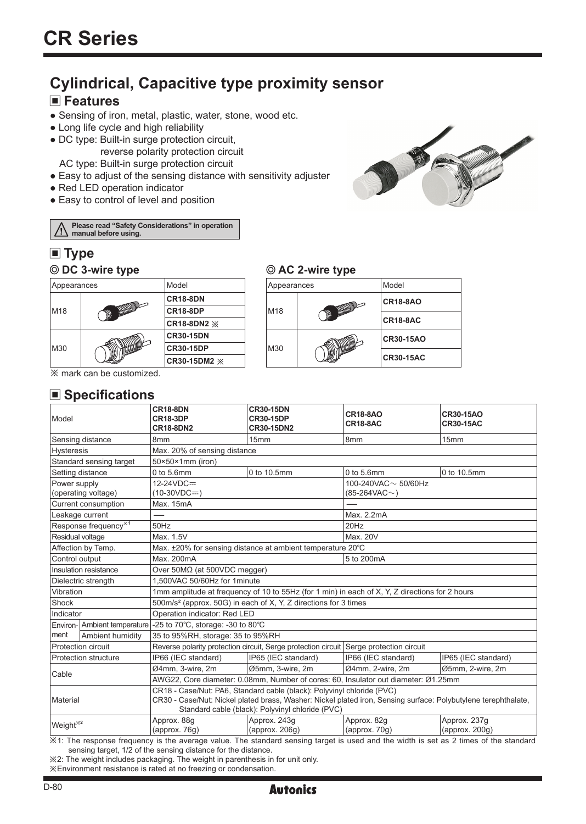# **Cylindrical, Capacitive type proximity sensor**

# **Features**

- Sensing of iron, metal, plastic, water, stone, wood etc.
- Long life cycle and high reliability
- DC type: Built-in surge protection circuit, reverse polarity protection circuit

AC type: Built-in surge protection circuit

- Easy to adjust of the sensing distance with sensitivity adjuster
- Red LED operation indicator
- Easy to control of level and position

**Please read "Safety Considerations" in operation**  /!\ **manual before using.**

# **Type**



#### **DC 3-wire type AC 2-wire type**

| Appearances |     | Model            |  |
|-------------|-----|------------------|--|
|             | M18 | CR18-8AO         |  |
|             |     | CR18-8AC         |  |
| M30         |     | <b>CR30-15AO</b> |  |
|             |     | <b>CR30-15AC</b> |  |

※ mark can be customized.

## **■ Specifications**

| Model                            |                  | <b>CR18-8DN</b><br><b>CR18-3DP</b><br><b>CR18-8DN2</b>                                                                                                                                                                                       | <b>CR30-15DN</b><br><b>CR30-15DP</b><br>CR30-15DN2 | <b>CR18-8AO</b><br><b>CR18-8AC</b> | CR30-15AO<br><b>CR30-15AC</b>          |  |  |
|----------------------------------|------------------|----------------------------------------------------------------------------------------------------------------------------------------------------------------------------------------------------------------------------------------------|----------------------------------------------------|------------------------------------|----------------------------------------|--|--|
| Sensing distance                 |                  | 8mm                                                                                                                                                                                                                                          | 15mm                                               | 8mm                                | 15mm                                   |  |  |
| <b>Hysteresis</b>                |                  | Max. 20% of sensing distance                                                                                                                                                                                                                 |                                                    |                                    |                                        |  |  |
| Standard sensing target          |                  | $50\times50\times1$ mm (iron)                                                                                                                                                                                                                |                                                    |                                    |                                        |  |  |
| Setting distance                 |                  | $0$ to $5.6$ mm                                                                                                                                                                                                                              | 0 to 10.5mm                                        | $0$ to 5.6mm<br>0 to 10.5mm        |                                        |  |  |
| Power supply                     |                  | $12 - 24 VDC =$<br>100-240VAC $\sim$ 50/60Hz                                                                                                                                                                                                 |                                                    |                                    |                                        |  |  |
| (operating voltage)              |                  | $(10-30VDC=)$                                                                                                                                                                                                                                |                                                    | (85-264VAC $\sim$ )                |                                        |  |  |
| Current consumption              |                  | Max. 15mA                                                                                                                                                                                                                                    |                                                    |                                    |                                        |  |  |
| Leakage current                  |                  |                                                                                                                                                                                                                                              |                                                    | Max. 2.2mA                         |                                        |  |  |
| Response frequency <sup>*1</sup> |                  | 50Hz                                                                                                                                                                                                                                         |                                                    | 20Hz                               |                                        |  |  |
| Residual voltage                 |                  | Max. 1.5V                                                                                                                                                                                                                                    |                                                    | Max. 20V                           |                                        |  |  |
| Affection by Temp.               |                  | Max. ±20% for sensing distance at ambient temperature 20°C                                                                                                                                                                                   |                                                    |                                    |                                        |  |  |
| Control output                   |                  | Max. 200mA                                                                                                                                                                                                                                   |                                                    | 5 to 200mA                         |                                        |  |  |
| Insulation resistance            |                  | Over $50M\Omega$ (at $500VDC$ megger)                                                                                                                                                                                                        |                                                    |                                    |                                        |  |  |
| Dielectric strength              |                  | 1.500VAC 50/60Hz for 1minute                                                                                                                                                                                                                 |                                                    |                                    |                                        |  |  |
| Vibration                        |                  | 1mm amplitude at frequency of 10 to 55Hz (for 1 min) in each of X, Y, Z directions for 2 hours                                                                                                                                               |                                                    |                                    |                                        |  |  |
| Shock                            |                  | 500m/s <sup>2</sup> (approx. 50G) in each of X, Y, Z directions for 3 times                                                                                                                                                                  |                                                    |                                    |                                        |  |  |
| Indicator                        |                  | Operation indicator: Red LED                                                                                                                                                                                                                 |                                                    |                                    |                                        |  |  |
| Environ- Ambient temperature     |                  | -25 to 70°C, storage: -30 to 80°C                                                                                                                                                                                                            |                                                    |                                    |                                        |  |  |
| Iment                            | Ambient humidity | 35 to 95%RH, storage: 35 to 95%RH                                                                                                                                                                                                            |                                                    |                                    |                                        |  |  |
| Protection circuit               |                  | Reverse polarity protection circuit, Serge protection circuit Serge protection circuit                                                                                                                                                       |                                                    |                                    |                                        |  |  |
| Protection structure             |                  | IP66 (IEC standard)                                                                                                                                                                                                                          | IP65 (IEC standard)                                | IP66 (IEC standard)                | IP65 (IEC standard)                    |  |  |
| Cable                            |                  | Ø4mm, 3-wire, 2m                                                                                                                                                                                                                             | Ø5mm, 3-wire, 2m                                   | Ø4mm, 2-wire, 2m                   | Ø5mm, 2-wire, 2m                       |  |  |
|                                  |                  | AWG22, Core diameter: 0.08mm, Number of cores: 60, Insulator out diameter: Ø1.25mm                                                                                                                                                           |                                                    |                                    |                                        |  |  |
| Material                         |                  | CR18 - Case/Nut: PA6, Standard cable (black): Polyvinyl chloride (PVC)<br>CR30 - Case/Nut: Nickel plated brass, Washer: Nickel plated iron, Sensing surface: Polybutylene terephthalate,<br>Standard cable (black): Polyvinyl chloride (PVC) |                                                    |                                    |                                        |  |  |
| Weight <sup>*2</sup>             |                  | Approx. 88q<br>(approx.76g)                                                                                                                                                                                                                  | Approx. 243q<br>(approx. 206g)                     | Approx. 82g<br>(approx. $70g$ )    | Approx. 237g<br>${\rm (approx.~200q)}$ |  |  |

※1: The response frequency is the average value. The standard sensing target is used and the width is set as 2 times of the standard sensing target, 1/2 of the sensing distance for the distance.

※2: The weight includes packaging. The weight in parenthesis in for unit only.

※Environment resistance is rated at no freezing or condensation.

## **Autonics**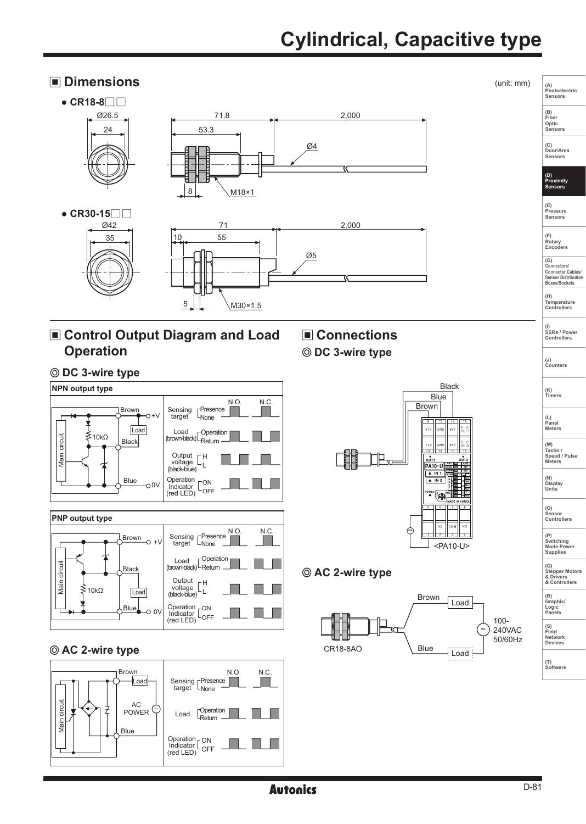# **Cylindrical, Capacitive type**

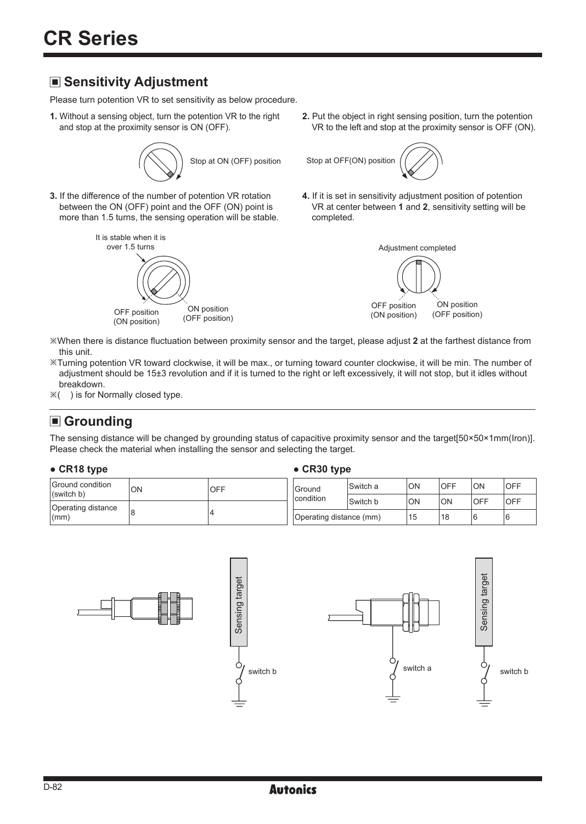# **Sensitivity Adjustment**

Please turn potention VR to set sensitivity as below procedure.

**1.** Without a sensing object, turn the potention VR to the right and stop at the proximity sensor is ON (OFF).



**3.** If the difference of the number of potention VR rotation between the ON (OFF) point and the OFF (ON) point is more than 1.5 turns, the sensing operation will be stable.



**2.** Put the object in right sensing position, turn the potention VR to the left and stop at the proximity sensor is OFF (ON).



**4.** If it is set in sensitivity adjustment position of potention VR at center between **1** and **2**, sensitivity setting will be completed.



- ※When there is distance fluctuation between proximity sensor and the target, please adjust **2** at the farthest distance from this unit.
- ※Turning potention VR toward clockwise, it will be max., or turning toward counter clockwise, it will be min. The number of adjustment should be 15±3 revolution and if it is turned to the right or left excessively, it will not stop, but it idles without breakdown.
- ※( ) is for Normally closed type.

# **Grounding**

The sensing distance will be changed by grounding status of capacitive proximity sensor and the target[50×50×1mm(Iron)]. Please check the material when installing the sensor and selecting the target.

#### **● CR18 type ● CR30 type**

| Ground condition<br>(switch b)<br>Operating distance<br>$\mathsf{I}(\mathsf{mm})$ | ON | OFF | Ground<br>condition     | lSwitch a | ION | OFF       | <b>ON</b>  | <b>OFF</b> |
|-----------------------------------------------------------------------------------|----|-----|-------------------------|-----------|-----|-----------|------------|------------|
|                                                                                   |    |     |                         | Switch b  | ION | <b>ON</b> | <b>OFF</b> | <b>OFF</b> |
|                                                                                   |    |     | Operating distance (mm) |           | 15  | 18        |            | 16         |